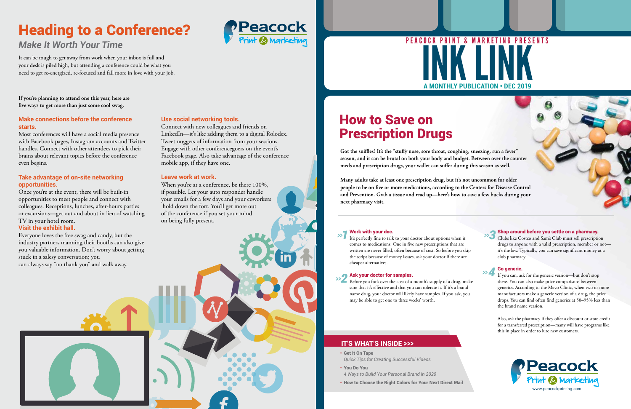- Get It On Tape *Quick Tips for Creating Successful Videos*
- You Do You
- *4 Ways to Build Your Personal Brand in 2020*
- How to Choose the Right Colors for Your Next Direct Mail

# **A MONTHLY PUBLICATION • DEC 2019** A MONTHLY PUBLICATION . DEC 2019 PRINT & MARKETING

### IT'S WHAT'S INSIDE >>>

**Got the sniffles? It's the "stuffy nose, sore throat, coughing, sneezing, run a fever" season, and it can be brutal on both your body and budget. Between over the counter meds and prescription drugs, your wallet can suffer during this season as well.**

**Many adults take at least one prescription drug, but it's not uncommon for older people to be on five or more medications, according to the Centers for Disease Control and Prevention. Grab a tissue and read up—here's how to save a few bucks during your next pharmacy visit.**

## How to Save on Prescription Drugs

### Work with your doc.

Before you fork over the cost of a month's supply of a drug, make sure that it's effective and that you can tolerate it. If it's a brandname drug, your doctor will likely have samples. If you ask, you may be able to get one to three weeks' worth.

#### Shop around before you settle on a pharmacy.

It's perfectly fine to talk to your doctor about options when it comes to medications. One in five new prescriptions that are written are never filled, often because of cost. So before you skip the script because of money issues, ask your doctor if there are cheaper alternatives. *>>1*

Clubs like Costco and Sam's Club must sell prescription drugs to anyone with a valid prescription, member or not it's the law. Typically, you can save significant money at a club pharmacy.

#### Ask your doctor for samples. *>>2*

#### Go generic.

If you can, ask for the generic version—but don't stop there. You can also make price comparisons between generics. According to the Mayo Clinic, when two or more manufacturers make a generic version of a drug, the price drops. You can find often find generics at 50–95% less than the brand name version.

When you're at a conference, be there 100%, if possible. Let your auto responder handle your emails for a few days and your coworkers hold down the fort. You'll get more out of the conference if you set your mind on being fully present.

> Also, ask the pharmacy if they offer a discount or store credit for a transferred prescription—many will have programs like this in place in order to lure new customers.

*>>3*

*>>4*

**If you're planning to attend one this year, here are five ways to get more than just some cool swag.**

### **Make connections before the conference starts.**

Most conferences will have a social media presence with Facebook pages, Instagram accounts and Twitter handles. Connect with other attendees to pick their brains about relevant topics before the conference even begins.

### **Take advantage of on-site networking opportunities.**

Once you're at the event, there will be built-in opportunities to meet people and connect with colleagues. Receptions, lunches, after-hours parties or excursions—get out and about in lieu of watching TV in your hotel room.

### **Visit the exhibit hall.**

Everyone loves the free swag and candy, but the industry partners manning their booths can also give you valuable information. Don't worry about getting stuck in a salesy conversation; you can always say "no thank you" and walk away.

# Heading to a Conference?



### *Make It Worth Your Time*

It can be tough to get away from work when your inbox is full and your desk is piled high, but attending a conference could be what you need to get re-energized, re-focused and fall more in love with your job.

### **Use social networking tools.**

Connect with new colleagues and friends on LinkedIn—it's like adding them to a digital Rolodex. Tweet nuggets of information from your sessions. Engage with other conferencegoers on the event's Facebook page. Also take advantage of the conference mobile app, if they have one.

### **Leave work at work.**